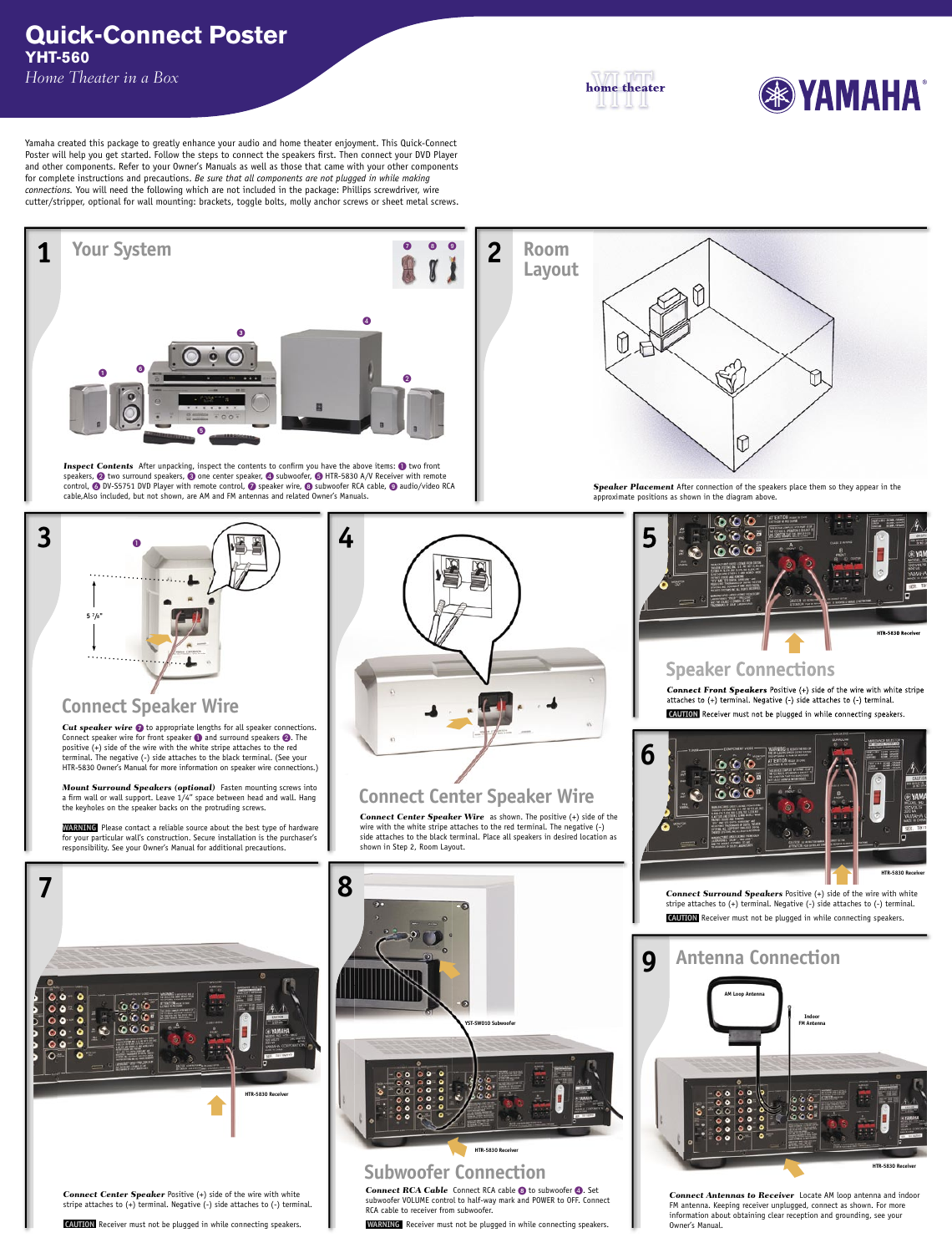## **Quick-Connect Poster YHT-560** *Home Theater in a Box*

home theater





**Cut speaker wire to** to appropriate lengths for all speaker connections. Connect speaker wire for front speaker  $\bigcirc$  and surround speakers  $\bigcirc$ . The positive (+) side of the wire with the white stripe attaches to the red terminal. The negative (-) side attaches to the black terminal. (See your HTR-5830 Owner's Manual for more information on speaker wire connections.)

*Mount Surround Speakers (optional)* Fasten mounting screws into a firm wall or wall support. Leave 1/4" space between head and wall. Hang the keyholes on the speaker backs on the protruding screws.

**WARNING** Please contact a reliable source about the best type of hardware for your particular wall's construction. Secure installation is the purchaser's responsibility. See your Owner's Manual for additional precautions.

*Connect Front Speakers* Positive (+) side of the wire with white stripe attaches to (+) terminal. Negative (-) side attaches to (-) terminal.

**CAUTION** Receiver must not be plugged in while connecting speakers.

*Connect Center Speaker Wire* as shown. The positive (+) side of the wire with the white stripe attaches to the red terminal. The negative (-) side attaches to the black terminal. Place all speakers in desired location as shown in Step 2, Room Layout.

# **Connect Speaker Wire**













**Connect RCA Cable** Connect RCA cable **8** to subwoofer 4. Set subwoofer VOLUME control to half-way mark and POWER to OFF. Connect RCA cable to receiver from subwoofer.

Yamaha created this package to greatly enhance your audio and home theater enjoyment. This Quick-Connect Poster will help you get started. Follow the steps to connect the speakers first. Then connect your DVD Player and other components. Refer to your Owner's Manuals as well as those that came with your other components for complete instructions and precautions. *Be sure that all components are not plugged in while making connections.* You will need the following which are not included in the package: Phillips screwdriver, wire cutter/stripper, optional for wall mounting: brackets, toggle bolts, molly anchor screws or sheet metal screws.



*Connect Center Speaker* Positive (+) side of the wire with white stripe attaches to (+) terminal. Negative (-) side attaches to (-) terminal.

 **CAUTION** Receiver must not be plugged in while connecting speakers.

# **Subwoofer Connection**

 **WARNING** Receiver must not be plugged in while connecting speakers.

*Connect Antennas to Receiver* Locate AM loop antenna and indoor FM antenna. Keeping receiver unplugged, connect as shown. For more information about obtaining clear reception and grounding, see your Owner's Manual.

# **Connect Center Speaker Wire**

*Connect Surround Speakers* Positive (+) side of the wire with white stripe attaches to (+) terminal. Negative (-) side attaches to (-) terminal.

**CAUTION** Receiver must not be plugged in while connecting speakers.

## **Speaker Connections**